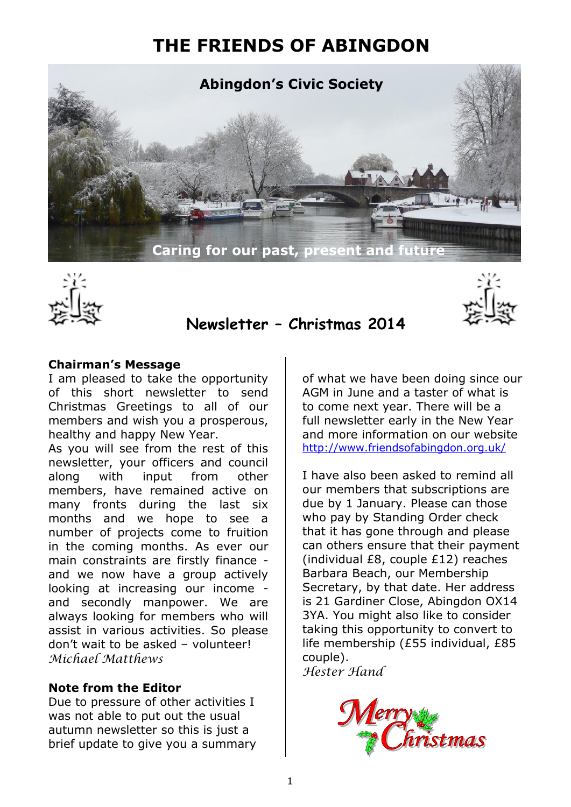# **THE FRIENDS OF ABINGDON**





## **Newsletter – Christmas 2014**

#### **Chairman's Message**

I am pleased to take the opportunity of this short newsletter to send Christmas Greetings to all of our members and wish you a prosperous, healthy and happy New Year.

As you will see from the rest of this newsletter, your officers and council along with input from other members, have remained active on many fronts during the last six months and we hope to see a number of projects come to fruition in the coming months. As ever our main constraints are firstly finance and we now have a group actively looking at increasing our income and secondly manpower. We are always looking for members who will assist in various activities. So please don't wait to be asked – volunteer! *Michael Matthews* 

### **Note from the Editor**

Due to pressure of other activities I was not able to put out the usual autumn newsletter so this is just a brief update to give you a summary of what we have been doing since our AGM in June and a taster of what is to come next year. There will be a full newsletter early in the New Year and more information on our website <http://www.friendsofabingdon.org.uk/>

I have also been asked to remind all our members that subscriptions are due by 1 January. Please can those who pay by Standing Order check that it has gone through and please can others ensure that their payment (individual £8, couple £12) reaches Barbara Beach, our Membership Secretary, by that date. Her address is 21 Gardiner Close, Abingdon OX14 3YA. You might also like to consider taking this opportunity to convert to life membership (£55 individual, £85 couple). *Hester Hand*

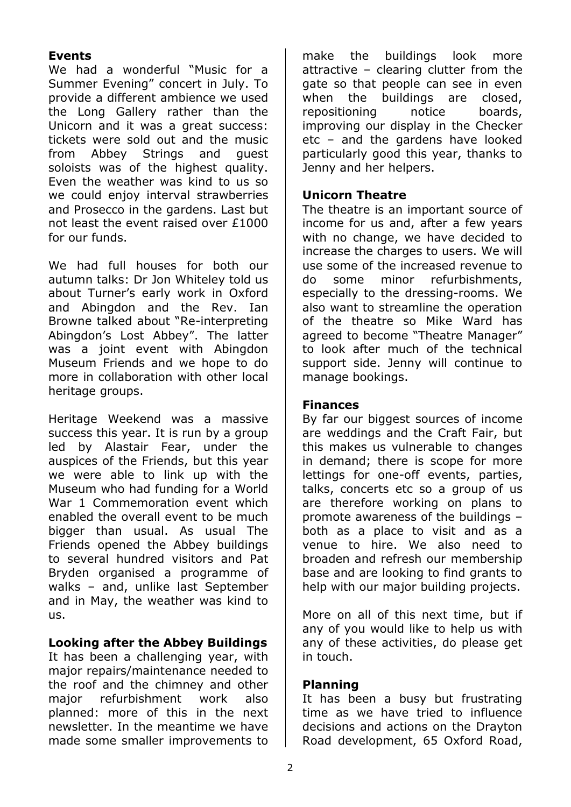## **Events**

We had a wonderful "Music for a Summer Evening" concert in July. To provide a different ambience we used the Long Gallery rather than the Unicorn and it was a great success: tickets were sold out and the music from Abbey Strings and guest soloists was of the highest quality. Even the weather was kind to us so we could enjoy interval strawberries and Prosecco in the gardens. Last but not least the event raised over £1000 for our funds.

We had full houses for both our autumn talks: Dr Jon Whiteley told us about Turner's early work in Oxford and Abingdon and the Rev. Ian Browne talked about "Re-interpreting Abingdon's Lost Abbey". The latter was a joint event with Abingdon Museum Friends and we hope to do more in collaboration with other local heritage groups.

Heritage Weekend was a massive success this year. It is run by a group led by Alastair Fear, under the auspices of the Friends, but this year we were able to link up with the Museum who had funding for a World War 1 Commemoration event which enabled the overall event to be much bigger than usual. As usual The Friends opened the Abbey buildings to several hundred visitors and Pat Bryden organised a programme of walks – and, unlike last September and in May, the weather was kind to us.

### **Looking after the Abbey Buildings**

It has been a challenging year, with major repairs/maintenance needed to the roof and the chimney and other major refurbishment work also planned: more of this in the next newsletter. In the meantime we have made some smaller improvements to

make the buildings look more attractive – clearing clutter from the gate so that people can see in even when the buildings are closed, repositioning notice boards, improving our display in the Checker etc – and the gardens have looked particularly good this year, thanks to Jenny and her helpers.

### **Unicorn Theatre**

The theatre is an important source of income for us and, after a few years with no change, we have decided to increase the charges to users. We will use some of the increased revenue to do some minor refurbishments, especially to the dressing-rooms. We also want to streamline the operation of the theatre so Mike Ward has agreed to become "Theatre Manager" to look after much of the technical support side. Jenny will continue to manage bookings.

### **Finances**

By far our biggest sources of income are weddings and the Craft Fair, but this makes us vulnerable to changes in demand; there is scope for more lettings for one-off events, parties, talks, concerts etc so a group of us are therefore working on plans to promote awareness of the buildings – both as a place to visit and as a venue to hire. We also need to broaden and refresh our membership base and are looking to find grants to help with our major building projects.

More on all of this next time, but if any of you would like to help us with any of these activities, do please get in touch.

### **Planning**

It has been a busy but frustrating time as we have tried to influence decisions and actions on the Drayton Road development, 65 Oxford Road,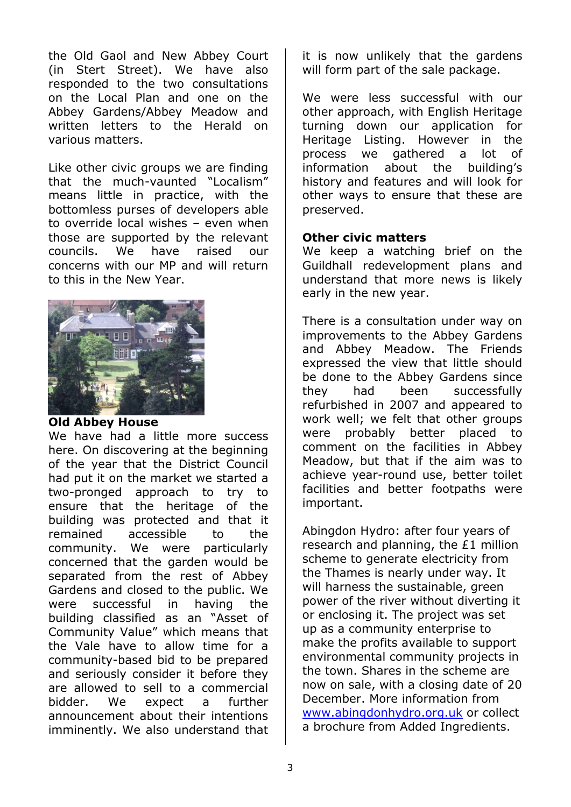the Old Gaol and New Abbey Court (in Stert Street). We have also responded to the two consultations on the Local Plan and one on the Abbey Gardens/Abbey Meadow and written letters to the Herald on various matters.

Like other civic groups we are finding that the much-vaunted "Localism" means little in practice, with the bottomless purses of developers able to override local wishes – even when those are supported by the relevant councils. We have raised our concerns with our MP and will return to this in the New Year.



#### **Old Abbey House**

We have had a little more success here. On discovering at the beginning of the year that the District Council had put it on the market we started a two-pronged approach to try to ensure that the heritage of the building was protected and that it remained accessible to the community. We were particularly concerned that the garden would be separated from the rest of Abbey Gardens and closed to the public. We were successful in having the building classified as an "Asset of Community Value" which means that the Vale have to allow time for a community-based bid to be prepared and seriously consider it before they are allowed to sell to a commercial bidder. We expect a further announcement about their intentions imminently. We also understand that it is now unlikely that the gardens will form part of the sale package.

We were less successful with our other approach, with English Heritage turning down our application for Heritage Listing. However in the process we gathered a lot of information about the building's history and features and will look for other ways to ensure that these are preserved.

#### **Other civic matters**

We keep a watching brief on the Guildhall redevelopment plans and understand that more news is likely early in the new year.

There is a consultation under way on improvements to the Abbey Gardens and Abbey Meadow. The Friends expressed the view that little should be done to the Abbey Gardens since they had been successfully refurbished in 2007 and appeared to work well; we felt that other groups were probably better placed to comment on the facilities in Abbey Meadow, but that if the aim was to achieve year-round use, better toilet facilities and better footpaths were important.

Abingdon Hydro: after four years of research and planning, the £1 million scheme to generate electricity from the Thames is nearly under way. It will harness the sustainable, green power of the river without diverting it or enclosing it. The project was set up as a community enterprise to make the profits available to support environmental community projects in the town. Shares in the scheme are now on sale, with a closing date of 20 December. More information from [www.abingdonhydro.org.uk](http://www.abingdonhydro.org.uk/) or collect a brochure from Added Ingredients.